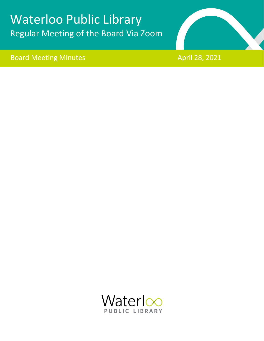# Waterloo Public Library Regular Meeting of the Board Via Zoom





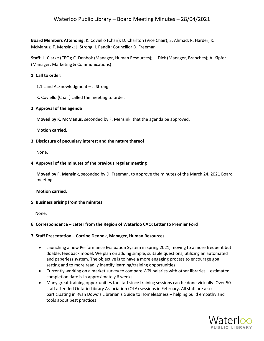**Board Members Attending:** K. Coviello (Chair); D. Charlton (Vice Chair); S. Ahmad; R. Harder; K. McManus; F. Mensink; J. Strong; I. Pandit; Councillor D. Freeman

**Staff:** L. Clarke (CEO); C. Denbok (Manager, Human Resources); L. Dick (Manager, Branches); A. Kipfer (Manager, Marketing & Communications)

## **1. Call to order:**

- 1.1 Land Acknowledgment J. Strong
- K. Coviello (Chair) called the meeting to order.

## **2. Approval of the agenda**

**Moved by K. McManus,** seconded by F. Mensink, that the agenda be approved.

 **Motion carried.**

## **3. Disclosure of pecuniary interest and the nature thereof**

None.

## **4. Approval of the minutes of the previous regular meeting**

**Moved by F. Mensink,** seconded by D. Freeman, to approve the minutes of the March 24, 2021 Board meeting.

## **Motion carried.**

## **5. Business arising from the minutes**

None.

# **6. Correspondence – Letter from the Region of Waterloo CAO; Letter to Premier Ford**

# **7. Staff Presentation – Corrine Denbok, Manager, Human Resources**

- Launching a new Performance Evaluation System in spring 2021, moving to a more frequent but doable, feedback model. We plan on adding simple, suitable questions, utilizing an automated and paperless system. The objective is to have a more engaging process to encourage goal setting and to more readily identify learning/training opportunities
- Currently working on a market survey to compare WPL salaries with other libraries estimated completion date is in approximately 6 weeks
- Many great training opportunities for staff since training sessions can be done virtually. Over 50 staff attended Ontario Library Association (OLA) sessions in February. All staff are also participating in Ryan Dowd's Librarian's Guide to Homelessness – helping build empathy and tools about best practices

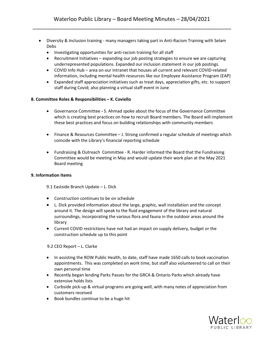- Diversity & Inclusion training many managers taking part in Anti-Racism Training with Selam Debs
	- Investigating opportunities for anti-racism training for all staff
	- Recruitment Initiatives expanding our job posting strategies to ensure we are capturing underrepresented populations. Expanded our inclusion statement in our job postings.
	- COVID Info Hub area on our Intranet that houses all current and relevant COVID-related information, including mental health resources like our Employee Assistance Program (EAP)
	- Expanded staff appreciation initiatives such as treat days, appreciation gifts, etc. to support staff during Covid; also planning a virtual staff event in June

# **8. Committee Roles & Responsibilities – K. Coviello**

- Governance Committee **-** S. Ahmad spoke about the focus of the Governance Committee which is creating best practices on how to recruit Board members. The Board will implement these best practices and focus on building relationships with community members
- Finance & Resources Committee J. Strong confirmed a regular schedule of meetings which coincide with the Library's financial reporting schedule
- Fundraising & Outreach Committee R. Harder informed the Board that the Fundraising Committee would be meeting in May and would update their work plan at the May 2021 Board meeting

## **9. Information Items**

9.1 Eastside Branch Update – L. Dick

- Construction continues to be on schedule
- L. Dick provided information about the large, graphic, wall installation and the concept around it. The design will speak to the fluid engagement of the library and natural surroundings, incorporating the various flora and fauna in the outdoor areas around the library
- Current COVID restrictions have not had an impact on supply delivery, budget or the construction schedule up to this point

9.2 CEO Report – L. Clarke

- In assisting the ROW Public Health, to date, staff have made 1650 calls to book vaccination appointments. This was completed on work time, but staff also volunteered to call on their own personal time
- Recently began lending Parks Passes for the GRCA & Ontario Parks which already have extensive holds lists
- Curbside pick-up & virtual programs are going well, with many notes of appreciation from customers received
- Book bundles continue to be a huge hit